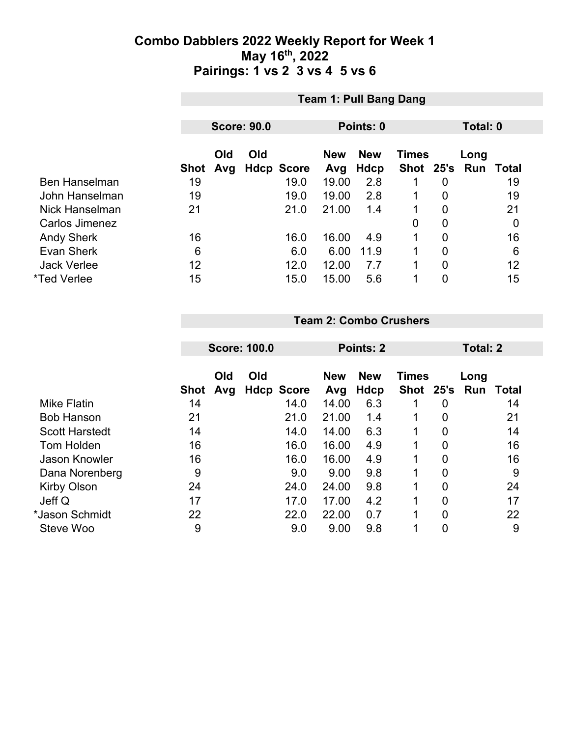|                      |      | <b>Team 1: Pull Bang Dang</b> |  |                   |                                          |      |               |                |      |       |  |
|----------------------|------|-------------------------------|--|-------------------|------------------------------------------|------|---------------|----------------|------|-------|--|
|                      |      |                               |  |                   |                                          |      |               |                |      |       |  |
|                      |      | <b>Score: 90.0</b>            |  |                   | Points: 0                                |      |               | Total: 0       |      |       |  |
|                      |      | Old<br>Old                    |  |                   | <b>New</b><br><b>Times</b><br><b>New</b> |      |               |                | Long |       |  |
|                      | Shot | Avg                           |  | <b>Hdcp Score</b> | Avg                                      | Hdcp | Shot 25's Run |                |      | Total |  |
| <b>Ben Hanselman</b> | 19   |                               |  | 19.0              | 19.00                                    | 2.8  |               | 0              |      | 19    |  |
| John Hanselman       | 19   |                               |  | 19.0              | 19.00                                    | 2.8  | 1             | 0              |      | 19    |  |
| Nick Hanselman       | 21   |                               |  | 21.0              | 21.00                                    | 1.4  | 1             | $\overline{0}$ |      | 21    |  |
| Carlos Jimenez       |      |                               |  |                   |                                          |      | 0             | $\overline{0}$ |      | 0     |  |
| <b>Andy Sherk</b>    | 16   |                               |  | 16.0              | 16.00                                    | 4.9  | 1             | 0              |      | 16    |  |
| <b>Evan Sherk</b>    | 6    |                               |  | 6.0               | 6.00                                     | 11.9 | 1             | $\overline{0}$ |      | 6     |  |
| <b>Jack Verlee</b>   | 12   |                               |  | 12.0              | 12.00                                    | 7.7  |               | $\overline{0}$ |      | 12    |  |
| *Ted Verlee          | 15   |                               |  | 15.0              | 15.00                                    | 5.6  | 1             | 0              |      | 15    |  |

#### **Team 2: Combo Crushers**

| <b>Score: 100.0</b> |                  |     | Points: 2 |                                   |                       |                    | Total: 2       |        |                  |
|---------------------|------------------|-----|-----------|-----------------------------------|-----------------------|--------------------|----------------|--------|------------------|
|                     | Old              | Old |           | <b>New</b>                        | <b>New</b>            | <b>Times</b>       |                | Long   |                  |
|                     |                  |     |           |                                   |                       |                    |                |        | Total            |
|                     |                  |     |           |                                   |                       |                    |                |        | 14               |
|                     |                  |     |           |                                   |                       |                    |                |        | 21               |
| 14                  |                  |     | 14.0      | 14.00                             | 6.3                   | 1                  | $\overline{0}$ |        | 14               |
| 16                  |                  |     | 16.0      | 16.00                             | 4.9                   | 1                  | 0              |        | 16               |
| 16                  |                  |     | 16.0      | 16.00                             | 4.9                   | 1                  | 0              |        | 16               |
| 9                   |                  |     | 9.0       | 9.00                              | 9.8                   | 1                  | $\mathbf 0$    |        | 9                |
| 24                  |                  |     | 24.0      | 24.00                             | 9.8                   | 1                  | 0              |        | 24               |
| 17                  |                  |     | 17.0      | 17.00                             | 4.2                   | 1                  | 0              |        | 17               |
| 22                  |                  |     | 22.0      | 22.00                             | 0.7                   | 1                  | $\overline{0}$ |        | 22               |
| 9                   |                  |     | 9.0       | 9.00                              | 9.8                   | ◢                  | 0              |        | 9                |
|                     | Shot<br>14<br>21 | Avg |           | <b>Hdcp Score</b><br>14.0<br>21.0 | Avg<br>14.00<br>21.00 | Hdcp<br>6.3<br>1.4 | 1              | 0<br>0 | Shot 25's<br>Run |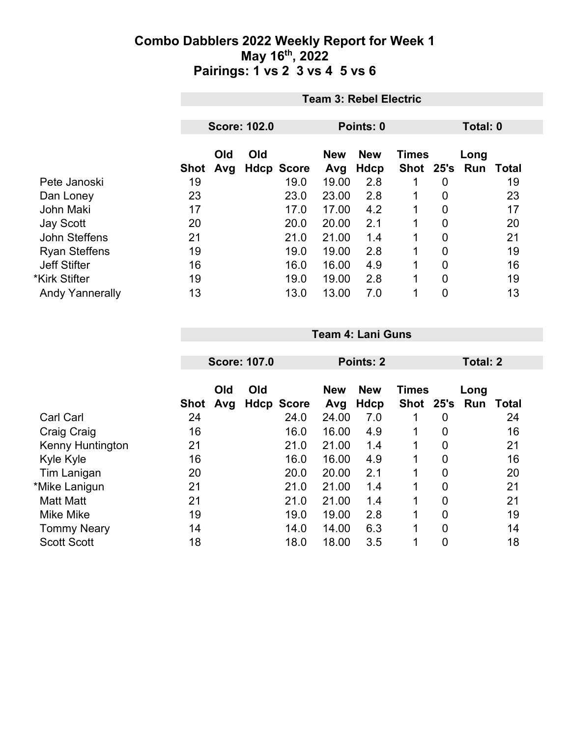|                        |      | <b>Team 3: Rebel Electric</b> |     |                   |            |            |               |          |      |       |  |
|------------------------|------|-------------------------------|-----|-------------------|------------|------------|---------------|----------|------|-------|--|
|                        |      |                               |     |                   |            |            |               |          |      |       |  |
|                        |      | <b>Score: 102.0</b>           |     |                   | Points: 0  |            |               | Total: 0 |      |       |  |
|                        |      | Old                           | Old |                   | <b>New</b> | <b>New</b> | <b>Times</b>  |          | Long |       |  |
|                        | Shot | Avg                           |     | <b>Hdcp Score</b> | Avg        | Hdcp       | Shot 25's Run |          |      | Total |  |
| Pete Janoski           | 19   |                               |     | 19.0              | 19.00      | 2.8        |               | 0        |      | 19    |  |
| Dan Loney              | 23   |                               |     | 23.0              | 23.00      | 2.8        |               | 0        |      | 23    |  |
| <b>John Maki</b>       | 17   |                               |     | 17.0              | 17.00      | 4.2        |               | 0        |      | 17    |  |
| <b>Jay Scott</b>       | 20   |                               |     | 20.0              | 20.00      | 2.1        |               | 0        |      | 20    |  |
| John Steffens          | 21   |                               |     | 21.0              | 21.00      | 1.4        |               | 0        |      | 21    |  |
| <b>Ryan Steffens</b>   | 19   |                               |     | 19.0              | 19.00      | 2.8        |               | 0        |      | 19    |  |
| <b>Jeff Stifter</b>    | 16   |                               |     | 16.0              | 16.00      | 4.9        |               | 0        |      | 16    |  |
| *Kirk Stifter          | 19   |                               |     | 19.0              | 19.00      | 2.8        |               | 0        |      | 19    |  |
| <b>Andy Yannerally</b> | 13   |                               |     | 13.0              | 13.00      | 7.0        |               | 0        |      | 13    |  |

|                    |             | <b>Score: 107.0</b> |     |                   | Points: 2         |                    |                           |                | Total: 2    |       |  |
|--------------------|-------------|---------------------|-----|-------------------|-------------------|--------------------|---------------------------|----------------|-------------|-------|--|
|                    | <b>Shot</b> | Old<br>Avg          | Old | <b>Hdcp Score</b> | <b>New</b><br>Avg | <b>New</b><br>Hdcp | <b>Times</b><br>Shot 25's |                | Long<br>Run | Total |  |
| <b>Carl Carl</b>   | 24          |                     |     | 24.0              | 24.00             | 7.0                |                           | 0              |             | 24    |  |
| Craig Craig        | 16          |                     |     | 16.0              | 16.00             | 4.9                | 1                         | $\overline{0}$ |             | 16    |  |
| Kenny Huntington   | 21          |                     |     | 21.0              | 21.00             | 1.4                |                           | $\overline{0}$ |             | 21    |  |
| Kyle Kyle          | 16          |                     |     | 16.0              | 16.00             | 4.9                | 1                         | 0              |             | 16    |  |
| Tim Lanigan        | 20          |                     |     | 20.0              | 20.00             | 2.1                | 1                         | $\overline{0}$ |             | 20    |  |
| *Mike Lanigun      | 21          |                     |     | 21.0              | 21.00             | 1.4                |                           | $\overline{0}$ |             | 21    |  |
| <b>Matt Matt</b>   | 21          |                     |     | 21.0              | 21.00             | 1.4                | 1                         | $\mathbf 0$    |             | 21    |  |
| <b>Mike Mike</b>   | 19          |                     |     | 19.0              | 19.00             | 2.8                | 1                         | $\overline{0}$ |             | 19    |  |
| <b>Tommy Neary</b> | 14          |                     |     | 14.0              | 14.00             | 6.3                | 1                         | $\overline{0}$ |             | 14    |  |
| <b>Scott Scott</b> | 18          |                     |     | 18.0              | 18.00             | 3.5                | 1                         | 0              |             | 18    |  |

**Team 4: Lani Guns**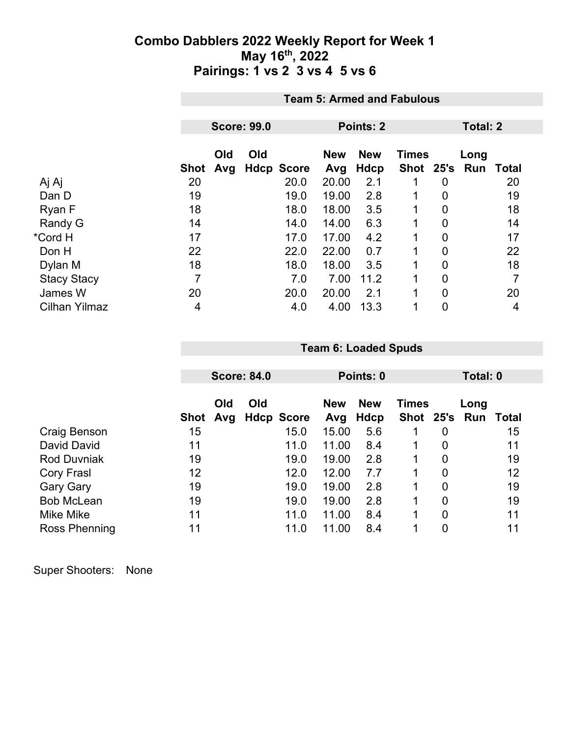|                      |      | <b>Team 5: Armed and Fabulous</b> |                    |                   |                   |                    |                           |                |             |          |  |
|----------------------|------|-----------------------------------|--------------------|-------------------|-------------------|--------------------|---------------------------|----------------|-------------|----------|--|
|                      |      |                                   |                    |                   |                   |                    |                           |                |             |          |  |
|                      |      |                                   | <b>Score: 99.0</b> |                   |                   | Points: 2          |                           |                |             | Total: 2 |  |
|                      | Shot | Old<br>Avg                        | Old                | <b>Hdcp Score</b> | <b>New</b><br>Avg | <b>New</b><br>Hdcp | <b>Times</b><br>Shot 25's |                | Long<br>Run | Total    |  |
| Aj Aj                | 20   |                                   |                    | 20.0              | 20.00             | 2.1                |                           | 0              |             | 20       |  |
| Dan D                | 19   |                                   |                    | 19.0              | 19.00             | 2.8                |                           | $\mathbf 0$    |             | 19       |  |
| Ryan F               | 18   |                                   |                    | 18.0              | 18.00             | 3.5                | 1                         | $\mathbf{0}$   |             | 18       |  |
| Randy G              | 14   |                                   |                    | 14.0              | 14.00             | 6.3                |                           | 0              |             | 14       |  |
| *Cord H              | 17   |                                   |                    | 17.0              | 17.00             | 4.2                |                           | $\overline{0}$ |             | 17       |  |
| Don H                | 22   |                                   |                    | 22.0              | 22.00             | 0.7                | 1                         | 0              |             | 22       |  |
| Dylan M              | 18   |                                   |                    | 18.0              | 18.00             | 3.5                |                           | 0              |             | 18       |  |
| <b>Stacy Stacy</b>   | 7    |                                   |                    | 7.0               | 7.00              | 11.2               |                           | $\overline{0}$ |             | 7        |  |
| James W              | 20   |                                   |                    | 20.0              | 20.00             | 2.1                | 1                         | $\overline{0}$ |             | 20       |  |
| <b>Cilhan Yilmaz</b> | 4    |                                   |                    | 4.0               | 4.00              | 13.3               | 1                         | 0              |             | 4        |  |

|                    |      |            | <b>Score: 84.0</b> |                   | Points: 0                                |      |   |   | Total: 0      |       |  |
|--------------------|------|------------|--------------------|-------------------|------------------------------------------|------|---|---|---------------|-------|--|
|                    |      | Old<br>Old |                    |                   | <b>New</b><br><b>New</b><br><b>Times</b> |      |   |   | Long          |       |  |
|                    | Shot | Avg        |                    | <b>Hdcp Score</b> | Avg                                      | Hdcp |   |   | Shot 25's Run | Total |  |
| Craig Benson       | 15   |            |                    | 15.0              | 15.00                                    | 5.6  |   | 0 |               | 15    |  |
| David David        | 11   |            |                    | 11.0              | 11.00                                    | 8.4  | 1 | 0 |               | 11    |  |
| <b>Rod Duvniak</b> | 19   |            |                    | 19.0              | 19.00                                    | 2.8  | 1 | 0 |               | 19    |  |
| Cory Frasl         | 12   |            |                    | 12.0              | 12.00                                    | 7.7  | 1 | 0 |               | 12    |  |
| <b>Gary Gary</b>   | 19   |            |                    | 19.0              | 19.00                                    | 2.8  | 1 | 0 |               | 19    |  |
| <b>Bob McLean</b>  | 19   |            |                    | 19.0              | 19.00                                    | 2.8  | 1 | 0 |               | 19    |  |
| Mike Mike          | 11   |            |                    | 11.0              | 11.00                                    | 8.4  | 1 | 0 |               | 11    |  |
| Ross Phenning      | 11   |            |                    | 11.0              | 11.00                                    | 8.4  |   | 0 |               | 11    |  |

**Team 6: Loaded Spuds**

Super Shooters: None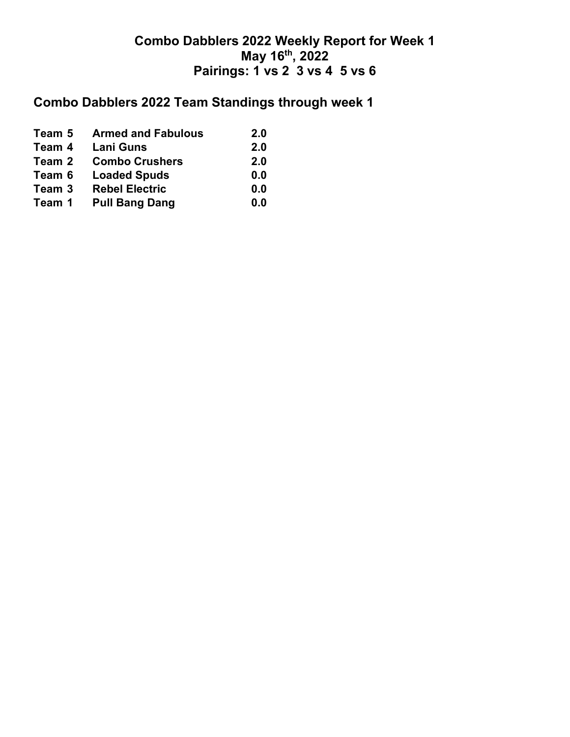# **Combo Dabblers 2022 Team Standings through week 1**

| Team 5 | <b>Armed and Fabulous</b> | 2.0 |
|--------|---------------------------|-----|
| Team 4 | <b>Lani Guns</b>          | 2.0 |
| Team 2 | <b>Combo Crushers</b>     | 2.0 |
| Team 6 | <b>Loaded Spuds</b>       | 0.0 |
| Team 3 | <b>Rebel Electric</b>     | 0.0 |
| Team 1 | <b>Pull Bang Dang</b>     | 0.0 |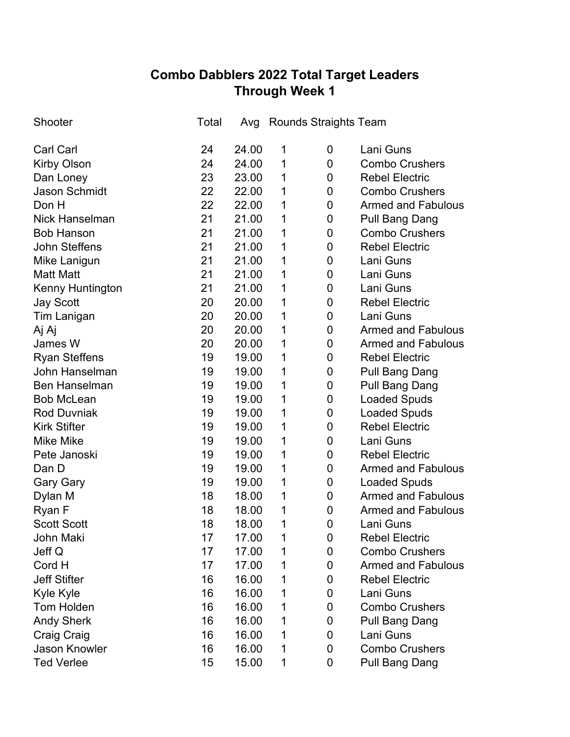## **Combo Dabblers 2022 Total Target Leaders Through Week 1**

| Shooter               | Total |       |   | Avg Rounds Straights Team |                           |
|-----------------------|-------|-------|---|---------------------------|---------------------------|
| <b>Carl Carl</b>      | 24    | 24.00 | 1 | 0                         | Lani Guns                 |
| Kirby Olson           | 24    | 24.00 | 1 | 0                         | <b>Combo Crushers</b>     |
| Dan Loney             | 23    | 23.00 | 1 | 0                         | <b>Rebel Electric</b>     |
| <b>Jason Schmidt</b>  | 22    | 22.00 | 1 | 0                         | <b>Combo Crushers</b>     |
| Don H                 | 22    | 22.00 | 1 | 0                         | <b>Armed and Fabulous</b> |
| <b>Nick Hanselman</b> | 21    | 21.00 | 1 | 0                         | <b>Pull Bang Dang</b>     |
| <b>Bob Hanson</b>     | 21    | 21.00 | 1 | 0                         | <b>Combo Crushers</b>     |
| <b>John Steffens</b>  | 21    | 21.00 | 1 | 0                         | <b>Rebel Electric</b>     |
| Mike Lanigun          | 21    | 21.00 | 1 | 0                         | Lani Guns                 |
| <b>Matt Matt</b>      | 21    | 21.00 | 1 | 0                         | Lani Guns                 |
| Kenny Huntington      | 21    | 21.00 | 1 | 0                         | Lani Guns                 |
| <b>Jay Scott</b>      | 20    | 20.00 | 1 | 0                         | <b>Rebel Electric</b>     |
| Tim Lanigan           | 20    | 20.00 | 1 | 0                         | Lani Guns                 |
| Aj Aj                 | 20    | 20.00 | 1 | 0                         | <b>Armed and Fabulous</b> |
| James W               | 20    | 20.00 | 1 | 0                         | <b>Armed and Fabulous</b> |
| <b>Ryan Steffens</b>  | 19    | 19.00 | 1 | 0                         | <b>Rebel Electric</b>     |
| John Hanselman        | 19    | 19.00 | 1 | 0                         | <b>Pull Bang Dang</b>     |
| <b>Ben Hanselman</b>  | 19    | 19.00 | 1 | 0                         | Pull Bang Dang            |
| <b>Bob McLean</b>     | 19    | 19.00 | 1 | 0                         | <b>Loaded Spuds</b>       |
| <b>Rod Duvniak</b>    | 19    | 19.00 | 1 | 0                         | <b>Loaded Spuds</b>       |
| <b>Kirk Stifter</b>   | 19    | 19.00 | 1 | 0                         | <b>Rebel Electric</b>     |
| <b>Mike Mike</b>      | 19    | 19.00 | 1 | 0                         | Lani Guns                 |
| Pete Janoski          | 19    | 19.00 | 1 | 0                         | <b>Rebel Electric</b>     |
| Dan D                 | 19    | 19.00 | 1 | $\mathbf 0$               | <b>Armed and Fabulous</b> |
| <b>Gary Gary</b>      | 19    | 19.00 | 1 | 0                         | <b>Loaded Spuds</b>       |
| Dylan M               | 18    | 18.00 | 1 | $\mathbf 0$               | <b>Armed and Fabulous</b> |
| Ryan F                | 18    | 18.00 | 1 | 0                         | <b>Armed and Fabulous</b> |
| <b>Scott Scott</b>    | 18    | 18.00 | 1 | $\mathbf 0$               | Lani Guns                 |
| John Maki             | 17    | 17.00 | 1 | 0                         | <b>Rebel Electric</b>     |
| Jeff Q                | 17    | 17.00 | 1 | 0                         | <b>Combo Crushers</b>     |
| Cord H                | 17    | 17.00 | 1 | 0                         | <b>Armed and Fabulous</b> |
| <b>Jeff Stifter</b>   | 16    | 16.00 | 1 | 0                         | <b>Rebel Electric</b>     |
| Kyle Kyle             | 16    | 16.00 | 1 | 0                         | Lani Guns                 |
| <b>Tom Holden</b>     | 16    | 16.00 | 1 | 0                         | <b>Combo Crushers</b>     |
| <b>Andy Sherk</b>     | 16    | 16.00 | 1 | 0                         | Pull Bang Dang            |
| Craig Craig           | 16    | 16.00 | 1 | 0                         | Lani Guns                 |
| Jason Knowler         | 16    | 16.00 | 1 | 0                         | <b>Combo Crushers</b>     |
| <b>Ted Verlee</b>     | 15    | 15.00 | 1 | 0                         | <b>Pull Bang Dang</b>     |